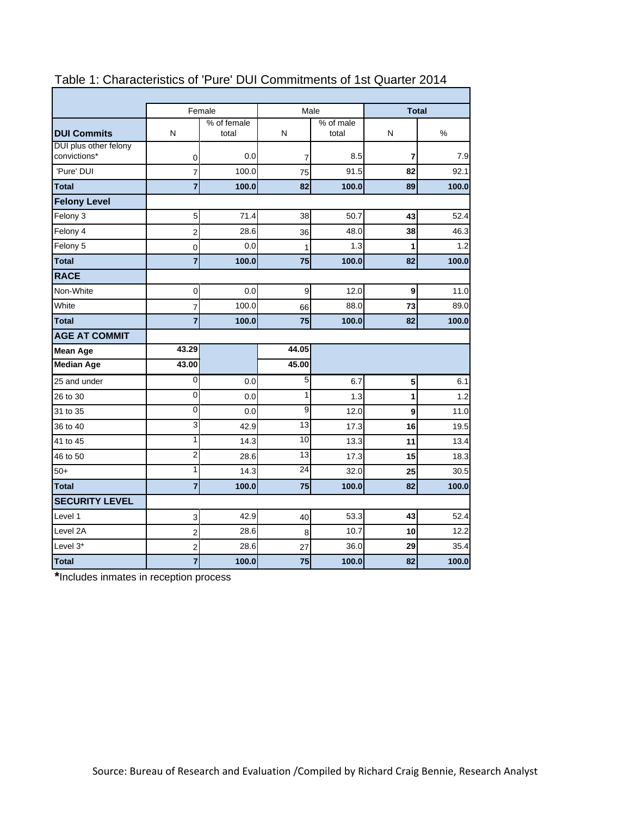|                                       |                | Female               | Male  |                    | <b>Total</b> |       |  |
|---------------------------------------|----------------|----------------------|-------|--------------------|--------------|-------|--|
| <b>DUI Commits</b>                    | N              | % of female<br>total | N     | % of male<br>total | N            | %     |  |
| DUI plus other felony<br>convictions* | 0              | 0.0                  | 7     | 8.5                | 7            | 7.9   |  |
| 'Pure' DUI                            | 7              | 100.0                | 75    | 91.5               | 82           | 92.1  |  |
| <b>Total</b>                          | $\overline{7}$ | 100.0                | 82    | 100.0              | 89           | 100.0 |  |
| <b>Felony Level</b>                   |                |                      |       |                    |              |       |  |
| Felony 3                              | 5              | 71.4                 | 38    | 50.7               | 43           | 52.4  |  |
| Felony 4                              | 2              | 28.6                 | 36    | 48.0               | 38           | 46.3  |  |
| Felony 5                              | 0              | 0.0                  | 1     | 1.3                | 1            | 1.2   |  |
| <b>Total</b>                          | $\overline{7}$ | 100.0                | 75    | 100.0              | 82           | 100.0 |  |
| <b>RACE</b>                           |                |                      |       |                    |              |       |  |
| Non-White                             | 0              | 0.0                  | 9     | 12.0               | 9            | 11.0  |  |
| White                                 | 7              | 100.0                | 66    | 88.0               | 73           | 89.0  |  |
| <b>Total</b>                          | $\overline{7}$ | 100.0                | 75    | 100.0              | 82           | 100.0 |  |
| <b>AGE AT COMMIT</b>                  |                |                      |       |                    |              |       |  |
| <b>Mean Age</b>                       | 43.29          |                      | 44.05 |                    |              |       |  |
| <b>Median Age</b>                     | 43.00          |                      | 45.00 |                    |              |       |  |
| 25 and under                          | 0              | 0.0                  | 5     | 6.7                | 5            | 6.1   |  |
| 26 to 30                              | $\mathbf 0$    | 0.0                  | 1     | 1.3                | 1            | 1.2   |  |
| 31 to 35                              | 0              | 0.0                  | 9     | 12.0               | 9            | 11.0  |  |
| 36 to 40                              | 3              | 42.9                 | 13    | 17.3               | 16           | 19.5  |  |
| 41 to 45                              | 1              | 14.3                 | 10    | 13.3               | 11           | 13.4  |  |
| 46 to 50                              | $\overline{2}$ | 28.6                 | 13    | 17.3               | 15           | 18.3  |  |
| $50+$                                 | 1              | 14.3                 | 24    | 32.0               | 25           | 30.5  |  |
| <b>Total</b>                          | $\overline{7}$ | 100.0                | 75    | 100.0              | 82           | 100.0 |  |
| <b>SECURITY LEVEL</b>                 |                |                      |       |                    |              |       |  |
| Level 1                               | 3              | 42.9                 | 40    | 53.3               | 43           | 52.4  |  |
| Level 2A                              | 2              | 28.6                 | 8     | 10.7               | 10           | 12.2  |  |
| Level 3*                              | $\overline{2}$ | 28.6                 | 27    | 36.0               | 29           | 35.4  |  |
| <b>Total</b>                          | $\overline{7}$ | 100.0                | 75    | 100.0              | 82           | 100.0 |  |

# Table 1: Characteristics of 'Pure' DUI Commitments of 1st Quarter 2014

**\***Includes inmates in reception process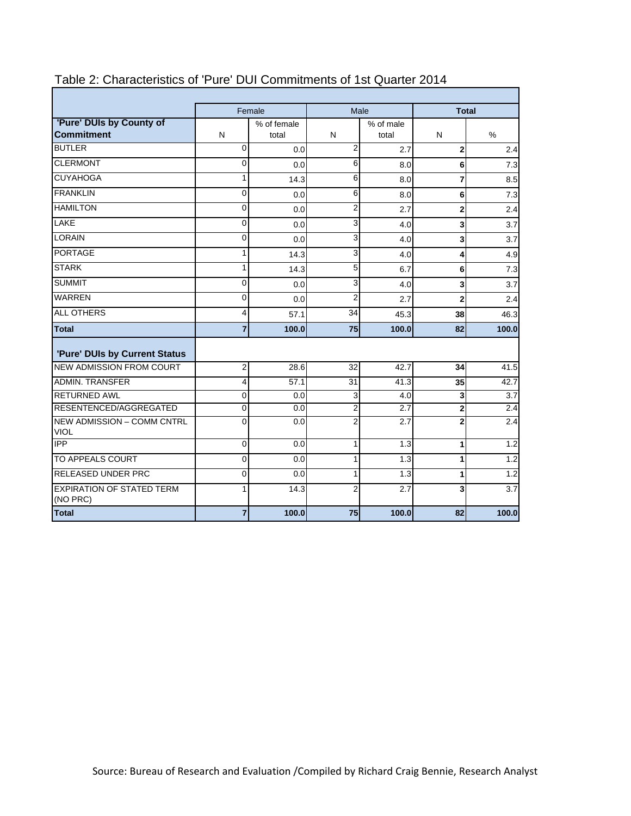|                                                  |                         | Female      | Male                    |           | <b>Total</b>   |                  |  |
|--------------------------------------------------|-------------------------|-------------|-------------------------|-----------|----------------|------------------|--|
| 'Pure' DUIs by County of                         |                         | % of female |                         | % of male |                |                  |  |
| <b>Commitment</b>                                | N                       | total       | N                       | total     | N              | $\%$             |  |
| <b>BUTLER</b>                                    | $\Omega$                | 0.0         | $\overline{2}$          | 2.7       | $\mathbf 2$    | 2.4              |  |
| <b>CLERMONT</b>                                  | $\Omega$                | 0.0         | 6                       | 8.0       | 6              | 7.3              |  |
| <b>CUYAHOGA</b>                                  | 1                       | 14.3        | 6                       | 8.0       | $\overline{7}$ | 8.5              |  |
| <b>FRANKLIN</b>                                  | 0                       | 0.0         | 6                       | 8.0       | 6              | 7.3              |  |
| <b>HAMILTON</b>                                  | 0                       | 0.0         | $\overline{\mathbf{c}}$ | 2.7       | $\mathbf{2}$   | 2.4              |  |
| <b>LAKE</b>                                      | 0                       | 0.0         | 3                       | 4.0       | 3              | 3.7              |  |
| <b>LORAIN</b>                                    | 0                       | 0.0         | 3                       | 4.0       | 3              | 3.7              |  |
| <b>PORTAGE</b>                                   | 1                       | 14.3        | 3                       | 4.0       | 4              | 4.9              |  |
| <b>STARK</b>                                     | 1                       | 14.3        | 5                       | 6.7       | 6              | 7.3              |  |
| <b>SUMMIT</b>                                    | 0                       | 0.0         | 3                       | 4.0       | 3              | 3.7              |  |
| <b>WARREN</b>                                    | 0                       | 0.0         | $\overline{2}$          | 2.7       | $\overline{2}$ | 2.4              |  |
| <b>ALL OTHERS</b>                                | 4                       | 57.1        | 34                      | 45.3      | 38             | 46.3             |  |
| <b>Total</b>                                     | $\overline{7}$          | 100.0       | 75                      | 100.0     | 82             | 100.0            |  |
| 'Pure' DUIs by Current Status                    |                         |             |                         |           |                |                  |  |
| <b>NEW ADMISSION FROM COURT</b>                  | 2                       | 28.6        | 32                      | 42.7      | 34             | 41.5             |  |
| <b>ADMIN. TRANSFER</b>                           | $\overline{\mathbf{4}}$ | 57.1        | 31                      | 41.3      | 35             | 42.7             |  |
| <b>RETURNED AWL</b>                              | 0                       | 0.0         | 3                       | 4.0       | 3              | $\overline{3.7}$ |  |
| RESENTENCED/AGGREGATED                           | $\mathbf 0$             | 0.0         | $\overline{2}$          | 2.7       | $\overline{2}$ | 2.4              |  |
| <b>NEW ADMISSION - COMM CNTRL</b><br><b>VIOL</b> | $\mathbf{0}$            | 0.0         | $\overline{2}$          | 2.7       | $\overline{2}$ | 2.4              |  |
| <b>IPP</b>                                       | 0                       | 0.0         | $\mathbf{1}$            | 1.3       | 1              | 1.2              |  |
| TO APPEALS COURT                                 | 0                       | 0.0         | $\mathbf{1}$            | 1.3       | 1              | 1.2              |  |
| <b>RELEASED UNDER PRC</b>                        | $\overline{0}$          | 0.0         | 1                       | 1.3       | 1              | 1.2              |  |
| <b>EXPIRATION OF STATED TERM</b><br>(NO PRC)     |                         | 14.3        | $\overline{2}$          | 2.7       | 3              | 3.7              |  |
| <b>Total</b>                                     | 7                       | 100.0       | 75                      | 100.0     | 82             | 100.0            |  |

# Table 2: Characteristics of 'Pure' DUI Commitments of 1st Quarter 2014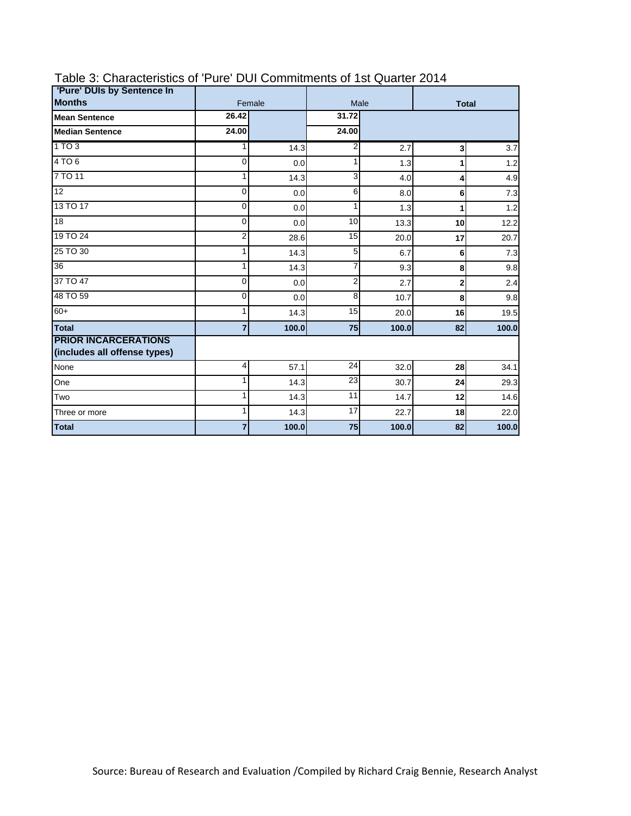| 'Pure' DUIs by Sentence In                                  |             |        |                |              |                |       |
|-------------------------------------------------------------|-------------|--------|----------------|--------------|----------------|-------|
| <b>Months</b>                                               |             | Female | Male           | <b>Total</b> |                |       |
| <b>Mean Sentence</b>                                        | 26.42       |        | 31.72          |              |                |       |
| <b>Median Sentence</b>                                      | 24.00       |        | 24.00          |              |                |       |
| 1 TO 3                                                      | 1           | 14.3   | 2              | 2.7          | 3 <sup>1</sup> | 3.7   |
| 4TO6                                                        | $\Omega$    | 0.0    | 1              | 1.3          | 1              | 1.2   |
| 7 TO 11                                                     |             | 14.3   | 3              | 4.0          | 4              | 4.9   |
| $\overline{12}$                                             | $\Omega$    | 0.0    | 6              | 8.0          | 6              | 7.3   |
| 13 TO 17                                                    | $\mathbf 0$ | 0.0    | 1              | 1.3          | 1              | 1.2   |
| $\overline{18}$                                             | $\Omega$    | 0.0    | 10             | 13.3         | 10             | 12.2  |
| 19 TO 24                                                    | 2           | 28.6   | 15             | 20.0         | 17             | 20.7  |
| 25 TO 30                                                    |             | 14.3   | 5              | 6.7          | 6              | 7.3   |
| 36                                                          | 1           | 14.3   | $\overline{7}$ | 9.3          | 8              | 9.8   |
| 37 TO 47                                                    | $\Omega$    | 0.0    | $\overline{2}$ | 2.7          | 2              | 2.4   |
| 48 TO 59                                                    | $\Omega$    | 0.0    | 8              | 10.7         | 8              | 9.8   |
| $60+$                                                       |             | 14.3   | 15             | 20.0         | 16             | 19.5  |
| <b>Total</b>                                                | 7           | 100.0  | 75             | 100.0        | 82             | 100.0 |
| <b>PRIOR INCARCERATIONS</b><br>(includes all offense types) |             |        |                |              |                |       |
| None                                                        | 4           | 57.1   | 24             | 32.0         | 28             | 34.1  |
| One                                                         |             | 14.3   | 23             | 30.7         | 24             | 29.3  |
| Two                                                         | 1           | 14.3   | 11             | 14.7         | 12             | 14.6  |
| Three or more                                               | 1           | 14.3   | 17             | 22.7         | 18             | 22.0  |
| <b>Total</b>                                                |             | 100.0  | 75             | 100.0        | 82             | 100.0 |

### Table 3: Characteristics of 'Pure' DUI Commitments of 1st Quarter 2014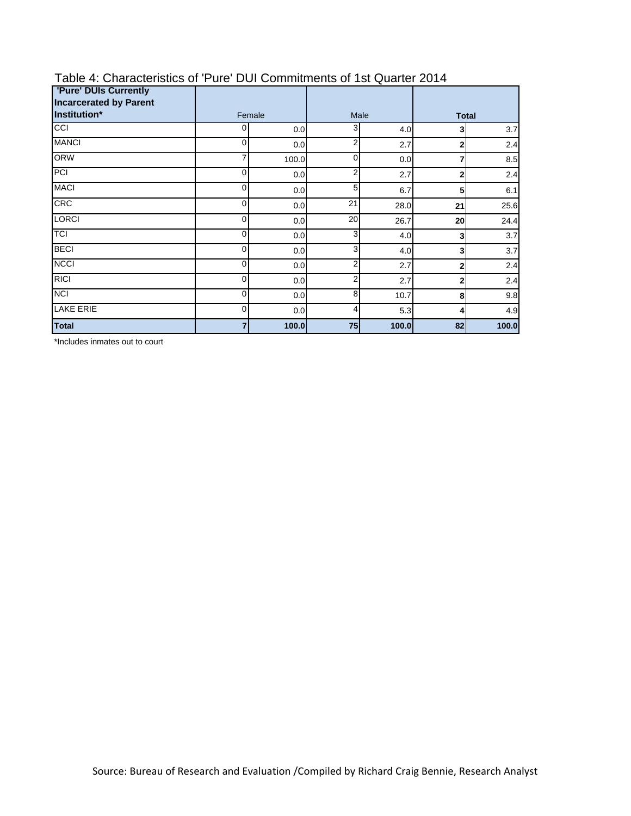| <b>'Pure' DUIs Currently</b><br><b>Incarcerated by Parent</b> |        |       |                |       |                |       |
|---------------------------------------------------------------|--------|-------|----------------|-------|----------------|-------|
| Institution*                                                  | Female |       | Male           |       | <b>Total</b>   |       |
| CCI                                                           | 0      | 0.0   | 3              | 4.0   | 3              | 3.7   |
| <b>MANCI</b>                                                  | 0      | 0.0   | $\overline{2}$ | 2.7   | $\overline{2}$ | 2.4   |
| <b>ORW</b>                                                    | 7      | 100.0 | 0              | 0.0   | 7              | 8.5   |
| PCI                                                           | 0      | 0.0   | 2              | 2.7   | $\mathbf{2}$   | 2.4   |
| <b>MACI</b>                                                   | 0      | 0.0   | 5              | 6.7   | 5              | 6.1   |
| <b>CRC</b>                                                    | 0      | 0.0   | 21             | 28.0  | 21             | 25.6  |
| <b>LORCI</b>                                                  | 0      | 0.0   | 20             | 26.7  | 20             | 24.4  |
| <b>TCI</b>                                                    | 0      | 0.0   | 3              | 4.0   | 3              | 3.7   |
| <b>BECI</b>                                                   | 0      | 0.0   | 3              | 4.0   | 3              | 3.7   |
| <b>NCCI</b>                                                   | 0      | 0.0   | 2              | 2.7   | $\mathbf{2}$   | 2.4   |
| <b>RICI</b>                                                   | 0      | 0.0   | 2              | 2.7   | $\mathbf{2}$   | 2.4   |
| <b>NCI</b>                                                    | 0      | 0.0   | 8              | 10.7  | 8              | 9.8   |
| <b>LAKE ERIE</b>                                              | 0      | 0.0   | 4              | 5.3   | $\overline{4}$ | 4.9   |
| <b>Total</b>                                                  | 7      | 100.0 | 75             | 100.0 | 82             | 100.0 |

# Table 4: Characteristics of 'Pure' DUI Commitments of 1st Quarter 2014

\*Includes inmates out to court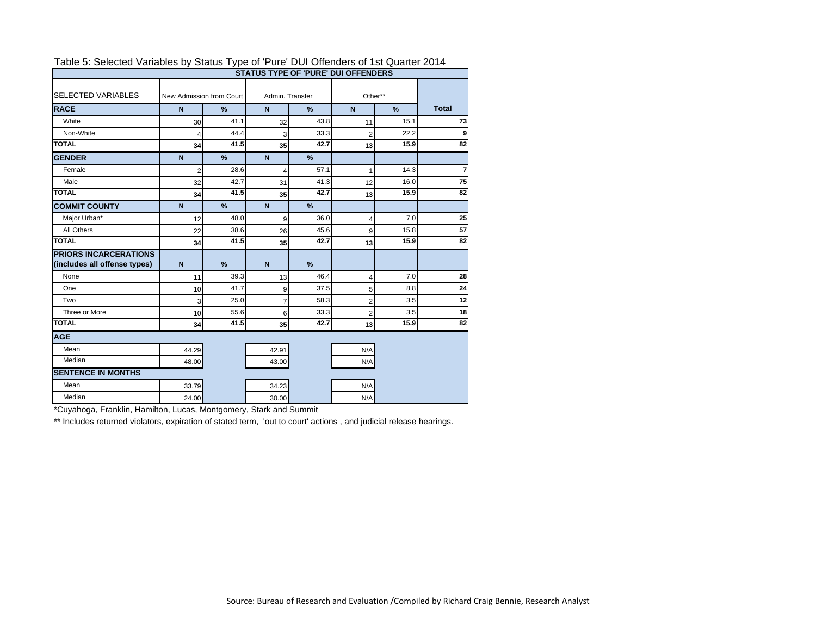|                              | <b>STATUS TYPE OF 'PURE' DUI OFFENDERS</b> |               |                 |               |                |                  |                |  |
|------------------------------|--------------------------------------------|---------------|-----------------|---------------|----------------|------------------|----------------|--|
| <b>SELECTED VARIABLES</b>    | New Admission from Court<br>N<br>$\%$      |               | Admin, Transfer |               | Other**        |                  |                |  |
| <b>RACE</b>                  |                                            |               | $\mathbf N$     | %             |                | $\mathbf N$<br>% |                |  |
| White                        | 30                                         | 41.1          | 32              | 43.8          | 11             | 15.1             | 73             |  |
| Non-White                    | $\overline{4}$                             | 44.4          | 3               | 33.3          | $\overline{2}$ | 22.2             | 9              |  |
| <b>TOTAL</b>                 | 34                                         | 41.5          | 35              | 42.7          | 13             | 15.9             | 82             |  |
| <b>GENDER</b>                | $\mathbf N$                                | $\frac{9}{6}$ | $\mathbf N$     | %             |                |                  |                |  |
| Female                       | $\overline{2}$                             | 28.6          | 4               | 57.1          | 1              | 14.3             | $\overline{7}$ |  |
| Male                         | 32                                         | 42.7          | 31              | 41.3          | 12             | 16.0             | 75             |  |
| <b>TOTAL</b>                 | 34                                         | 41.5          | 35              | 42.7          | 13             | 15.9             | 82             |  |
| <b>COMMIT COUNTY</b>         | $\mathbf N$                                | $\frac{9}{6}$ | $\mathbf N$     | %             |                |                  |                |  |
| Major Urban*                 | 12                                         | 48.0          | 9               | 36.0          | 4              | 7.0              | 25             |  |
| All Others                   | 22                                         | 38.6          | 26              | 45.6          | 9              | 15.8             | 57             |  |
| <b>TOTAL</b>                 | 34                                         | 41.5          | 35              | 42.7          | 13             | 15.9             | 82             |  |
| <b>PRIORS INCARCERATIONS</b> |                                            |               |                 |               |                |                  |                |  |
| (includes all offense types) | $\overline{N}$                             | $\frac{9}{6}$ | $\mathbf N$     | $\frac{9}{6}$ |                |                  |                |  |
| None                         | 11                                         | 39.3          | 13              | 46.4          | 4              | 7.0              | 28             |  |
| One                          | 10                                         | 41.7          | 9               | 37.5          | 5              | 8.8              | 24             |  |
| Two                          | 3                                          | 25.0          | $\overline{7}$  | 58.3          | $\overline{2}$ | 3.5              | 12             |  |
| Three or More                | 10                                         | 55.6          | 6               | 33.3          | $\overline{2}$ | 3.5              | 18             |  |
| <b>TOTAL</b>                 | 34                                         | 41.5          | 35              | 42.7          | 13             | 15.9             | 82             |  |
| <b>AGE</b>                   |                                            |               |                 |               |                |                  |                |  |
| Mean                         | 44.29                                      |               | 42.91           |               | N/A            |                  |                |  |
| Median                       | 48.00                                      |               | 43.00           |               | N/A            |                  |                |  |
| <b>SENTENCE IN MONTHS</b>    |                                            |               |                 |               |                |                  |                |  |
| Mean                         | 33.79                                      |               | 34.23           |               | N/A            |                  |                |  |
| Median                       | 24.00                                      |               | 30.00           |               | N/A            |                  |                |  |

#### Table 5: Selected Variables by Status Type of 'Pure' DUI Offenders of 1st Quarter 2014

\*Cuyahoga, Franklin, Hamilton, Lucas, Montgomery, Stark and Summit

\*\* Includes returned violators, expiration of stated term, 'out to court' actions, and judicial release hearings.